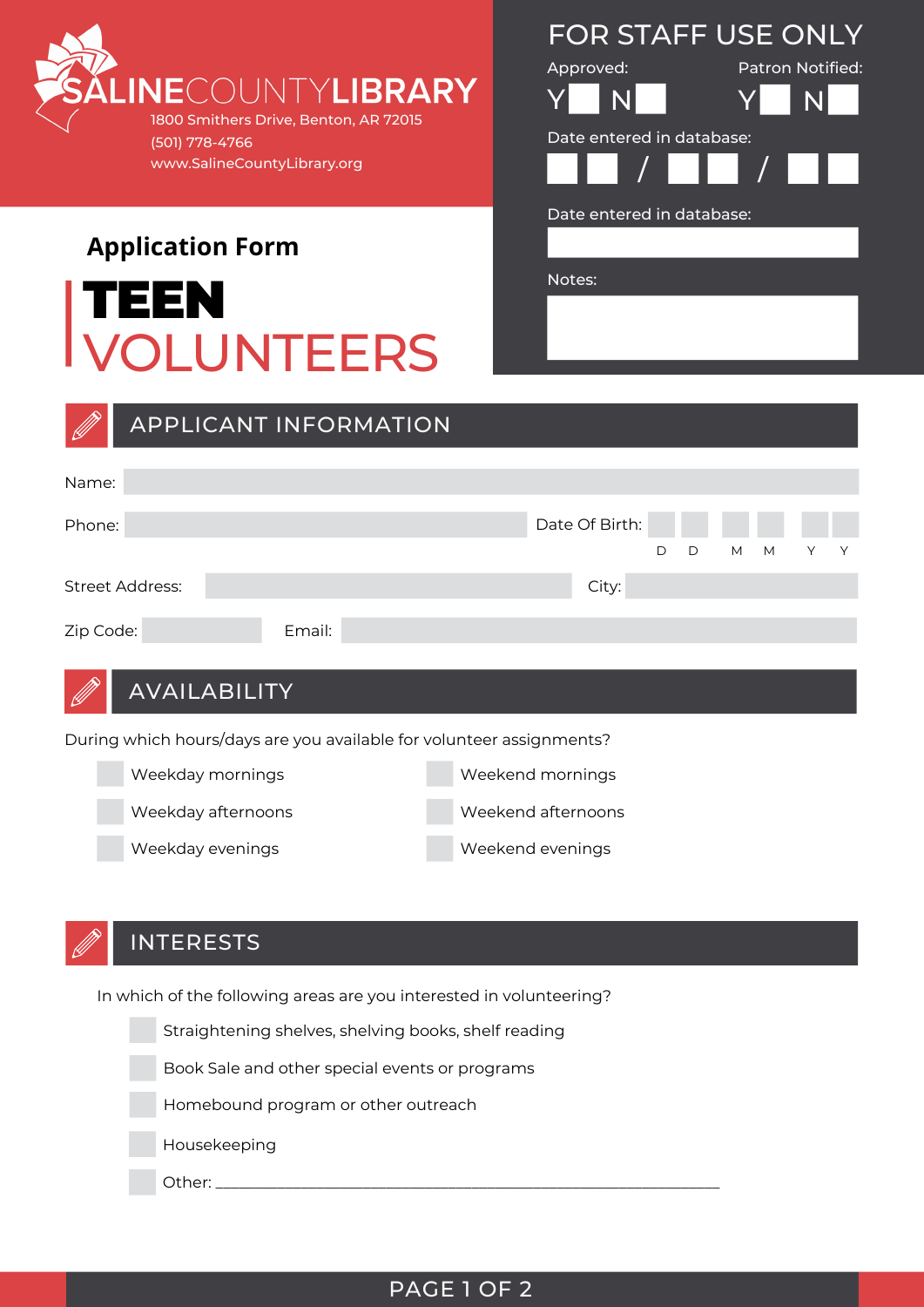

VOLUNTEERS

Notes: TEEN

**Application Form**

| Approved:                 | <b>Patron Notified:</b> |
|---------------------------|-------------------------|
| N                         | N                       |
| Date entered in database: |                         |
|                           | $\sqrt{ }$              |
| Date entered in database: |                         |
|                           |                         |
| Notes:                    |                         |
|                           |                         |
|                           |                         |
|                           |                         |

FOR STAFF USE ONLY

|           |                                                                      | <b>APPLICANT INFORMATION</b> |                    |                |   |   |   |   |   |   |
|-----------|----------------------------------------------------------------------|------------------------------|--------------------|----------------|---|---|---|---|---|---|
|           |                                                                      |                              |                    |                |   |   |   |   |   |   |
| Name:     |                                                                      |                              |                    |                |   |   |   |   |   |   |
| Phone:    |                                                                      |                              |                    | Date Of Birth: |   |   |   |   |   |   |
|           |                                                                      |                              |                    |                | D | D | M | M | Υ | Y |
|           | <b>Street Address:</b>                                               |                              |                    | City:          |   |   |   |   |   |   |
| Zip Code: |                                                                      | Email:                       |                    |                |   |   |   |   |   |   |
|           |                                                                      |                              |                    |                |   |   |   |   |   |   |
|           | <b>AVAILABILITY</b>                                                  |                              |                    |                |   |   |   |   |   |   |
|           | During which hours/days are you available for volunteer assignments? |                              |                    |                |   |   |   |   |   |   |
|           | Weekday mornings                                                     |                              | Weekend mornings   |                |   |   |   |   |   |   |
|           | Weekday afternoons                                                   |                              | Weekend afternoons |                |   |   |   |   |   |   |
|           | Weekday evenings                                                     |                              | Weekend evenings   |                |   |   |   |   |   |   |



In which of the following areas are you interested in volunteering?

Straightening shelves, shelving books, shelf reading Book Sale and other special events or programs Homebound program or other outreach Housekeeping

Other: \_\_\_\_\_\_\_\_\_\_\_\_\_\_\_\_\_\_\_\_\_\_\_\_\_\_\_\_\_\_\_\_\_\_\_\_\_\_\_\_\_\_\_\_\_\_\_\_\_\_\_\_\_\_\_\_\_\_\_\_\_\_\_\_\_

### PAGE 1 OF 2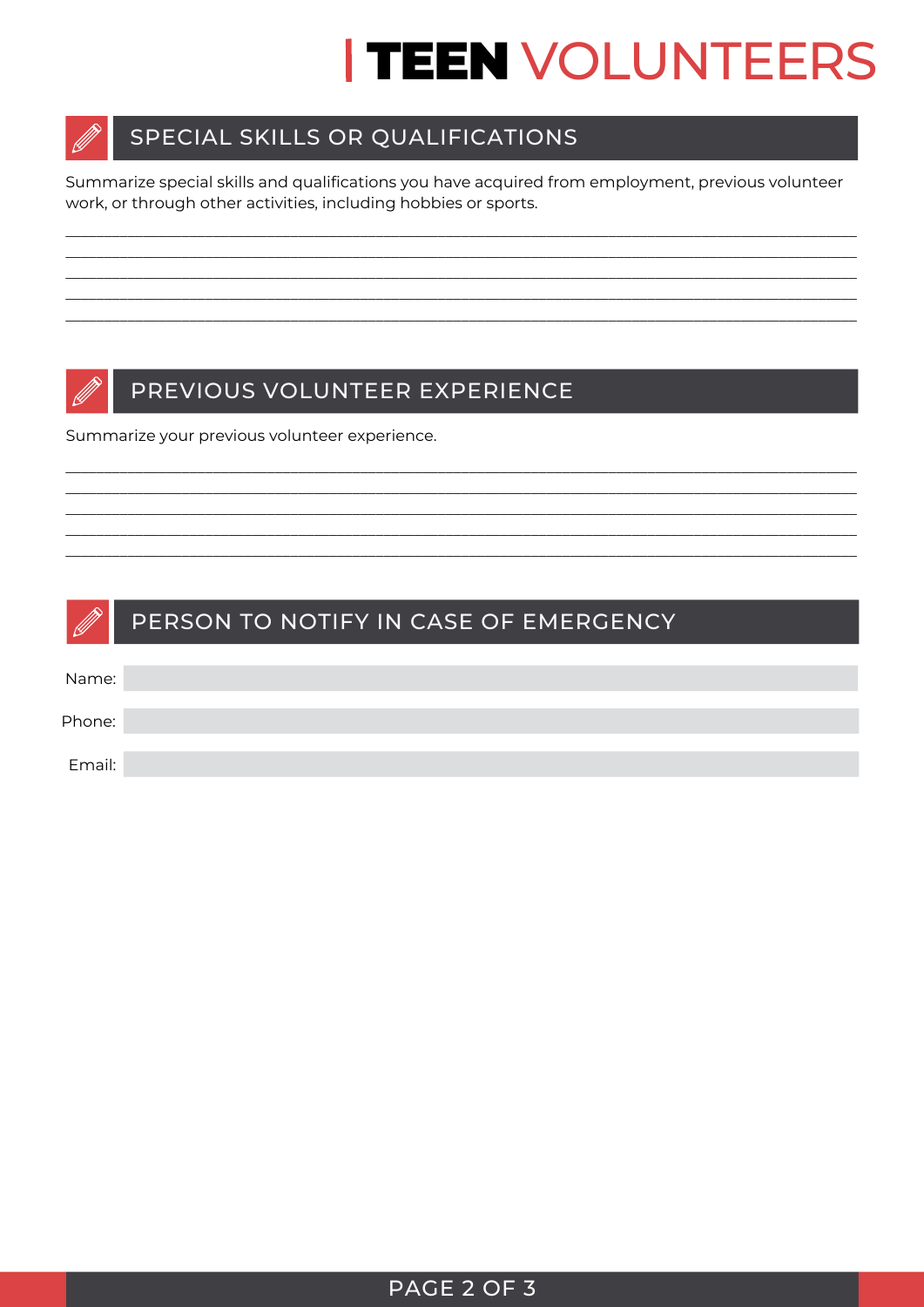# **TEEN VOLUNTEERS**



# SPECIAL SKILLS OR QUALIFICATIONS

Summarize special skills and qualifications you have acquired from employment, previous volunteer work, or through other activities, including hobbies or sports.



## PREVIOUS VOLUNTEER EXPERIENCE

Summarize your previous volunteer experience.

| <b>DESCRIPTION</b> | PERSON TO NOTIFY IN CASE OF EMERGENCY |
|--------------------|---------------------------------------|
| Name:              |                                       |
| Phone:             |                                       |
| Email:             |                                       |

## PAGE 2 OF 3